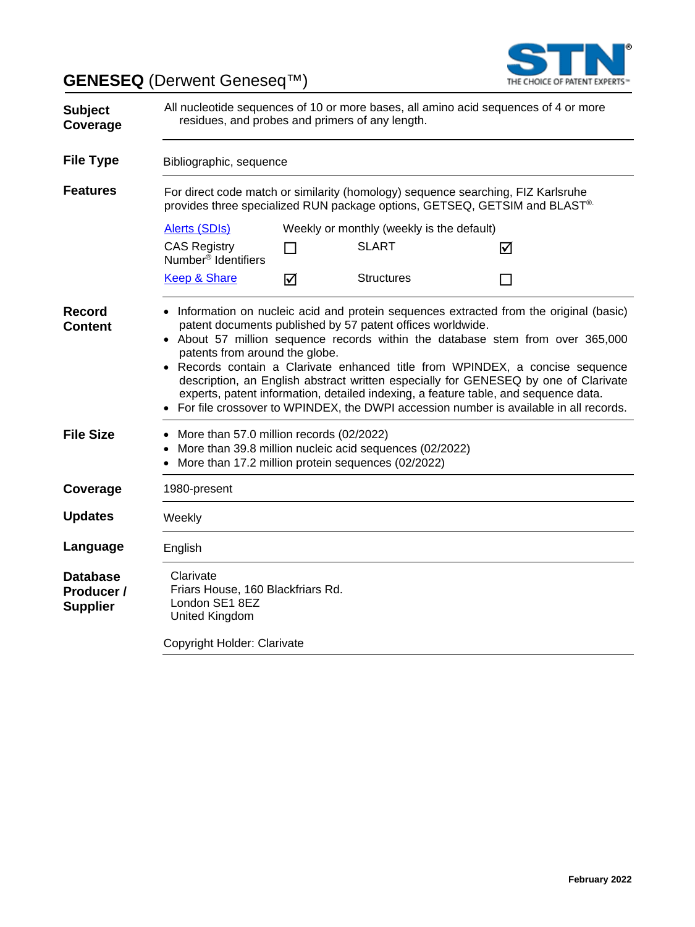**GENESEQ** (Derwent Geneseq™)



| <b>Subject</b><br>Coverage                       | All nucleotide sequences of 10 or more bases, all amino acid sequences of 4 or more<br>residues, and probes and primers of any length.                                                                                                                                                                                                                                                                                                                                                                                                                                                                                            |    |                                                                                                               |   |  |
|--------------------------------------------------|-----------------------------------------------------------------------------------------------------------------------------------------------------------------------------------------------------------------------------------------------------------------------------------------------------------------------------------------------------------------------------------------------------------------------------------------------------------------------------------------------------------------------------------------------------------------------------------------------------------------------------------|----|---------------------------------------------------------------------------------------------------------------|---|--|
| <b>File Type</b>                                 | Bibliographic, sequence                                                                                                                                                                                                                                                                                                                                                                                                                                                                                                                                                                                                           |    |                                                                                                               |   |  |
| <b>Features</b>                                  | For direct code match or similarity (homology) sequence searching, FIZ Karlsruhe<br>provides three specialized RUN package options, GETSEQ, GETSIM and BLAST®.                                                                                                                                                                                                                                                                                                                                                                                                                                                                    |    |                                                                                                               |   |  |
|                                                  | Alerts (SDIs)                                                                                                                                                                                                                                                                                                                                                                                                                                                                                                                                                                                                                     |    | Weekly or monthly (weekly is the default)                                                                     |   |  |
|                                                  | <b>CAS Registry</b><br>Number <sup>®</sup> Identifiers                                                                                                                                                                                                                                                                                                                                                                                                                                                                                                                                                                            | ΙI | <b>SLART</b>                                                                                                  | ☑ |  |
|                                                  | <b>Keep &amp; Share</b>                                                                                                                                                                                                                                                                                                                                                                                                                                                                                                                                                                                                           | ☑  | <b>Structures</b>                                                                                             |   |  |
| <b>Record</b><br><b>Content</b>                  | • Information on nucleic acid and protein sequences extracted from the original (basic)<br>patent documents published by 57 patent offices worldwide.<br>• About 57 million sequence records within the database stem from over 365,000<br>patents from around the globe.<br>• Records contain a Clarivate enhanced title from WPINDEX, a concise sequence<br>description, an English abstract written especially for GENESEQ by one of Clarivate<br>experts, patent information, detailed indexing, a feature table, and sequence data.<br>For file crossover to WPINDEX, the DWPI accession number is available in all records. |    |                                                                                                               |   |  |
| <b>File Size</b>                                 | • More than 57.0 million records (02/2022)                                                                                                                                                                                                                                                                                                                                                                                                                                                                                                                                                                                        |    | More than 39.8 million nucleic acid sequences (02/2022)<br>More than 17.2 million protein sequences (02/2022) |   |  |
| Coverage                                         | 1980-present                                                                                                                                                                                                                                                                                                                                                                                                                                                                                                                                                                                                                      |    |                                                                                                               |   |  |
| <b>Updates</b>                                   | Weekly                                                                                                                                                                                                                                                                                                                                                                                                                                                                                                                                                                                                                            |    |                                                                                                               |   |  |
| Language                                         | English                                                                                                                                                                                                                                                                                                                                                                                                                                                                                                                                                                                                                           |    |                                                                                                               |   |  |
| <b>Database</b><br>Producer /<br><b>Supplier</b> | Clarivate<br>Friars House, 160 Blackfriars Rd.<br>London SE1 8EZ<br>United Kingdom                                                                                                                                                                                                                                                                                                                                                                                                                                                                                                                                                |    |                                                                                                               |   |  |
|                                                  | Copyright Holder: Clarivate                                                                                                                                                                                                                                                                                                                                                                                                                                                                                                                                                                                                       |    |                                                                                                               |   |  |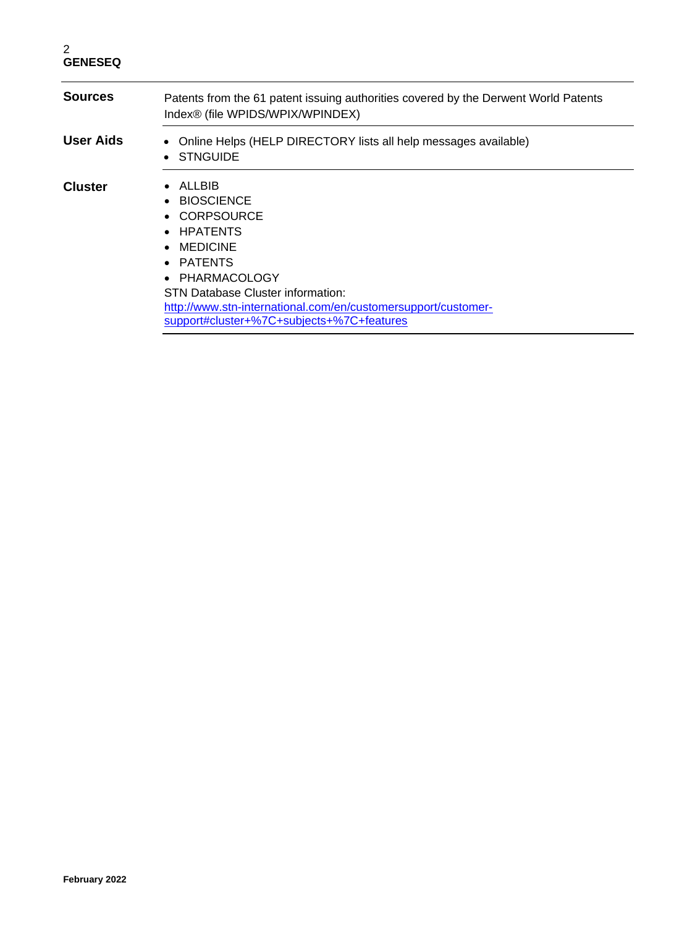| <b>Sources</b> | Patents from the 61 patent issuing authorities covered by the Derwent World Patents<br>Index® (file WPIDS/WPIX/WPINDEX)                                                                                                                                    |  |
|----------------|------------------------------------------------------------------------------------------------------------------------------------------------------------------------------------------------------------------------------------------------------------|--|
| User Aids      | Online Helps (HELP DIRECTORY lists all help messages available)<br>• STNGUIDE                                                                                                                                                                              |  |
| <b>Cluster</b> | ALLBIB<br>• BIOSCIENCE<br>CORPSOURCE<br>• HPATENTS<br>$\bullet$ MEDICINE<br>• PATENTS<br>• PHARMACOLOGY<br>STN Database Cluster information:<br>http://www.stn-international.com/en/customersupport/customer-<br>support#cluster+%7C+subjects+%7C+features |  |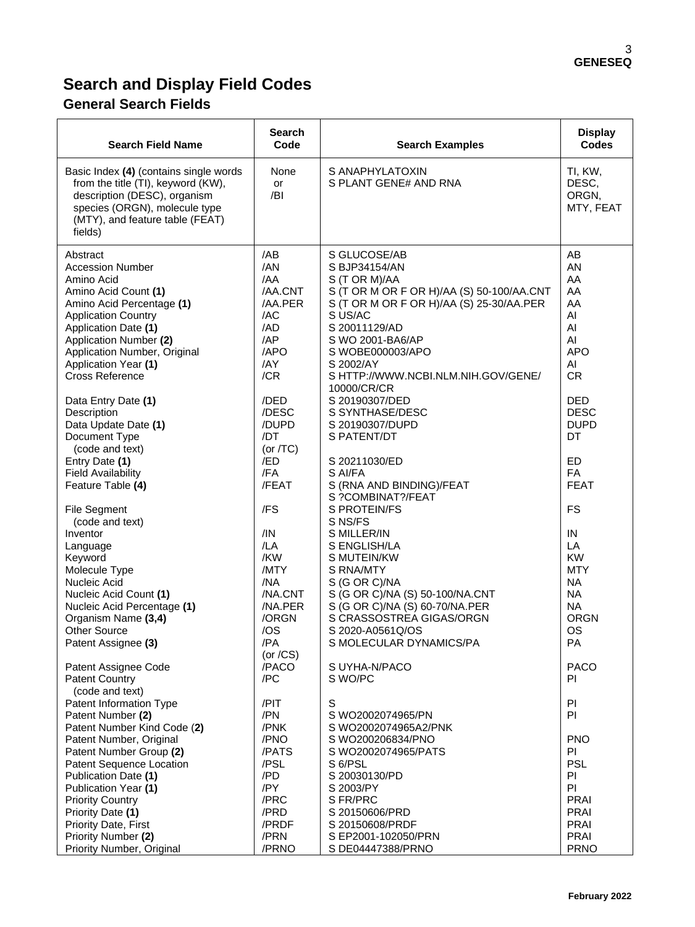# **Search and Display Field Codes**

# **General Search Fields**

| <b>Search Field Name</b>                                                                                                                                                                                                                                          | <b>Search</b><br>Code                                                             | <b>Search Examples</b>                                                                                                                                                                                                                                                         | <b>Display</b><br><b>Codes</b>                                                                   |
|-------------------------------------------------------------------------------------------------------------------------------------------------------------------------------------------------------------------------------------------------------------------|-----------------------------------------------------------------------------------|--------------------------------------------------------------------------------------------------------------------------------------------------------------------------------------------------------------------------------------------------------------------------------|--------------------------------------------------------------------------------------------------|
| Basic Index (4) (contains single words<br>from the title (TI), keyword (KW),<br>description (DESC), organism<br>species (ORGN), molecule type<br>(MTY), and feature table (FEAT)<br>fields)                                                                       | None<br>or<br>/BI                                                                 | S ANAPHYLATOXIN<br>S PLANT GENE# AND RNA                                                                                                                                                                                                                                       | TI, KW,<br>DESC,<br>ORGN,<br>MTY, FEAT                                                           |
| Abstract<br><b>Accession Number</b><br>Amino Acid<br>Amino Acid Count (1)<br>Amino Acid Percentage (1)<br><b>Application Country</b><br>Application Date (1)<br>Application Number (2)<br>Application Number, Original<br>Application Year (1)<br>Cross Reference | /AB<br>/AN<br>/AA<br>/AA.CNT<br>/AA.PER<br>/AC<br>/AD<br>AP<br>/APO<br>/AY<br>/CR | S GLUCOSE/AB<br>S BJP34154/AN<br>S (T OR M)/AA<br>S (T OR M OR F OR H)/AA (S) 50-100/AA.CNT<br>S (T OR M OR F OR H)/AA (S) 25-30/AA.PER<br>S US/AC<br>S 20011129/AD<br>S WO 2001-BA6/AP<br>S WOBE000003/APO<br>S 2002/AY<br>S HTTP://WWW.NCBI.NLM.NIH.GOV/GENE/<br>10000/CR/CR | AB<br>AN<br>AA<br>AA<br>AA<br>AI<br>Al<br>AI<br><b>APO</b><br>AI<br><b>CR</b>                    |
| Data Entry Date (1)<br>Description<br>Data Update Date (1)<br>Document Type<br>(code and text)                                                                                                                                                                    | /DED<br>/DESC<br>/DUPD<br>/DT<br>(or $/TC$ )                                      | S 20190307/DED<br>S SYNTHASE/DESC<br>S 20190307/DUPD<br>S PATENT/DT                                                                                                                                                                                                            | <b>DED</b><br><b>DESC</b><br><b>DUPD</b><br>DT                                                   |
| Entry Date (1)<br><b>Field Availability</b><br>Feature Table (4)                                                                                                                                                                                                  | /ED<br>/FA<br>/FEAT                                                               | S 20211030/ED<br>S AI/FA<br>S (RNA AND BINDING)/FEAT<br>S ?COMBINAT?/FEAT                                                                                                                                                                                                      | ED<br><b>FA</b><br><b>FEAT</b>                                                                   |
| <b>File Segment</b><br>(code and text)<br>Inventor<br>Language<br>Keyword<br>Molecule Type<br>Nucleic Acid<br>Nucleic Acid Count (1)                                                                                                                              | /FS<br>/IN<br>/LA<br>/KW<br>/MTY<br>/NA<br>/NA.CNT                                | <b>S PROTEIN/FS</b><br>S NS/FS<br>S MILLER/IN<br>S ENGLISH/LA<br>S MUTEIN/KW<br>S RNA/MTY<br>S (G OR C)/NA<br>S (G OR C)/NA (S) 50-100/NA.CNT                                                                                                                                  | FS<br>IN<br>LA<br><b>KW</b><br><b>MTY</b><br><b>NA</b><br><b>NA</b>                              |
| Nucleic Acid Percentage (1)<br>Organism Name (3,4)<br><b>Other Source</b><br>Patent Assignee (3)                                                                                                                                                                  | /NA.PER<br>/ORGN<br>/OS<br>/PA<br>(or $/CS$ )                                     | S (G OR C)/NA (S) 60-70/NA.PER<br>S CRASSOSTREA GIGAS/ORGN<br>S 2020-A0561Q/OS<br>S MOLECULAR DYNAMICS/PA                                                                                                                                                                      | <b>NA</b><br><b>ORGN</b><br>OS<br>PA                                                             |
| Patent Assignee Code<br><b>Patent Country</b><br>(code and text)<br>Patent Information Type<br>Patent Number (2)                                                                                                                                                  | /PACO<br>/PC<br>/PIT<br>/PN                                                       | S UYHA-N/PACO<br>S WO/PC<br>S<br>S WO2002074965/PN                                                                                                                                                                                                                             | <b>PACO</b><br><b>PI</b><br>PI<br>PI                                                             |
| Patent Number Kind Code (2)<br>Patent Number, Original<br>Patent Number Group (2)<br>Patent Sequence Location<br>Publication Date (1)<br>Publication Year (1)<br><b>Priority Country</b><br>Priority Date (1)<br>Priority Date, First<br>Priority Number (2)      | /PNK<br>/PNO<br>/PATS<br>/PSL<br>/PD<br>/PY<br>/PRC<br>/PRD<br>/PRDF<br>/PRN      | S WO2002074965A2/PNK<br>S WO200206834/PNO<br>S WO2002074965/PATS<br>S 6/PSL<br>S 20030130/PD<br>S 2003/PY<br>S FR/PRC<br>S 20150606/PRD<br>S 20150608/PRDF<br>S EP2001-102050/PRN                                                                                              | <b>PNO</b><br>PI.<br><b>PSL</b><br>PI<br>PI<br>PRAI<br><b>PRAI</b><br><b>PRAI</b><br><b>PRAI</b> |
| Priority Number, Original                                                                                                                                                                                                                                         | /PRNO                                                                             | S DE04447388/PRNO                                                                                                                                                                                                                                                              | <b>PRNO</b>                                                                                      |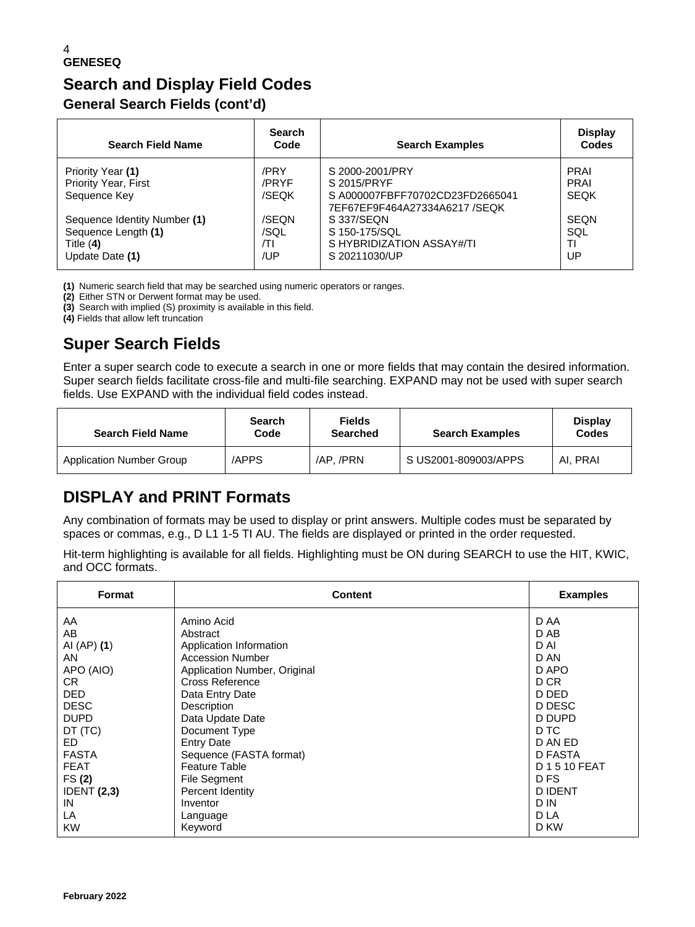# **Search and Display Field Codes General Search Fields (cont'd)**

| <b>Search Field Name</b>     | <b>Search</b><br>Code | <b>Search Examples</b>                                          | <b>Display</b><br>Codes |
|------------------------------|-----------------------|-----------------------------------------------------------------|-------------------------|
| Priority Year (1)            | /PRY                  | S 2000-2001/PRY                                                 | <b>PRAI</b>             |
| <b>Priority Year, First</b>  | /PRYF                 | S 2015/PRYF                                                     | <b>PRAI</b>             |
| Sequence Key                 | /SEQK                 | SA000007FBFF70702CD23FD2665041<br>7EF67EF9F464A27334A6217 /SEQK | <b>SEQK</b>             |
| Sequence Identity Number (1) | /SEON                 | S 337/SEQN                                                      | SEON                    |
| Sequence Length (1)          | /SQL                  | S 150-175/SQL                                                   | SQL                     |
| Title $(4)$                  | /ΤI                   | S HYBRIDIZATION ASSAY#/TI                                       | ΤI                      |
| Update Date (1)              | /UP                   | S 20211030/UP                                                   | UP                      |

**(1)** Numeric search field that may be searched using numeric operators or ranges.

**(2)** Either STN or Derwent format may be used.

**(3)** Search with implied (S) proximity is available in this field.

**(4)** Fields that allow left truncation

# **Super Search Fields**

Enter a super search code to execute a search in one or more fields that may contain the desired information. Super search fields facilitate cross-file and multi-file searching. EXPAND may not be used with super search fields. Use EXPAND with the individual field codes instead.

| <b>Search Field Name</b>        | <b>Search</b><br>Code | <b>Fields</b><br>Searched | <b>Search Examples</b> | <b>Display</b><br><b>Codes</b> |
|---------------------------------|-----------------------|---------------------------|------------------------|--------------------------------|
| <b>Application Number Group</b> | /APPS                 | /AP./PRN                  | S US2001-809003/APPS   | AI. PRAI                       |

# **DISPLAY and PRINT Formats**

Any combination of formats may be used to display or print answers. Multiple codes must be separated by spaces or commas, e.g., D L1 1-5 TI AU. The fields are displayed or printed in the order requested.

Hit-term highlighting is available for all fields. Highlighting must be ON during SEARCH to use the HIT, KWIC, and OCC formats.

| Format             | <b>Content</b>               | <b>Examples</b>  |
|--------------------|------------------------------|------------------|
| AA                 | Amino Acid                   | D AA             |
| AB                 | Abstract                     | D AB             |
| AI $(AP)$ $(1)$    | Application Information      | D AI             |
| AN                 | <b>Accession Number</b>      | D AN             |
| APO (AIO)          | Application Number, Original | D APO            |
| CR.                | <b>Cross Reference</b>       | D CR             |
| DED.               | Data Entry Date              | D DED            |
| <b>DESC</b>        | Description                  | D DESC           |
| <b>DUPD</b>        | Data Update Date             | D DUPD           |
| DT (TC)            | Document Type                | D TC             |
| ED.                | <b>Entry Date</b>            | D AN ED          |
| <b>FASTA</b>       | Sequence (FASTA format)      | D FASTA          |
| <b>FEAT</b>        | <b>Feature Table</b>         | <b>D1510FEAT</b> |
| FS(2)              | File Segment                 | D FS             |
| <b>IDENT (2,3)</b> | Percent Identity             | <b>DIDENT</b>    |
| IN                 | Inventor                     | D IN             |
| LA                 | Language                     | D LA             |
| <b>KW</b>          | Keyword                      | D KW             |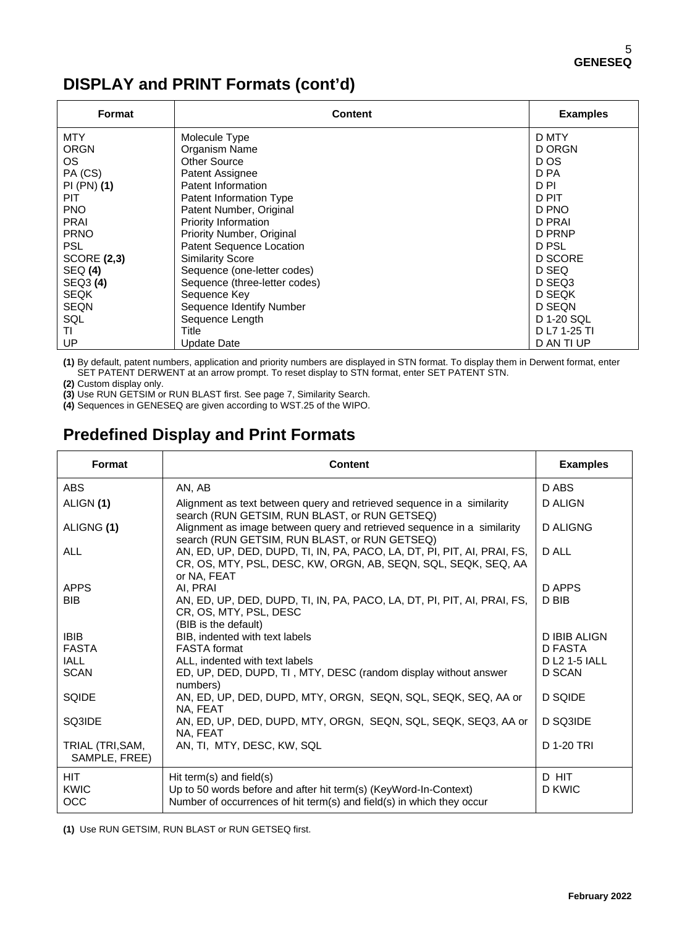# **DISPLAY and PRINT Formats (cont'd)**

| Format             | <b>Content</b>                  | <b>Examples</b> |
|--------------------|---------------------------------|-----------------|
| <b>MTY</b>         | Molecule Type                   | D MTY           |
| <b>ORGN</b>        | Organism Name                   | D ORGN          |
| OS.                | Other Source                    | D OS            |
| PA (CS)            | Patent Assignee                 | D PA            |
| PI (PN) (1)        | Patent Information              | D PI            |
| PIT                | Patent Information Type         | D PIT           |
| PNO.               | Patent Number, Original         | D PNO           |
| <b>PRAI</b>        | <b>Priority Information</b>     | D PRAI          |
| <b>PRNO</b>        | Priority Number, Original       | D PRNP          |
| <b>PSL</b>         | <b>Patent Sequence Location</b> | D PSL           |
| <b>SCORE (2,3)</b> | <b>Similarity Score</b>         | D SCORE         |
| <b>SEQ (4)</b>     | Sequence (one-letter codes)     | D SEQ           |
| SEQ3 (4)           | Sequence (three-letter codes)   | D SEQ3          |
| <b>SEQK</b>        | Sequence Key                    | D SEQK          |
| <b>SEQN</b>        | Sequence Identify Number        | D SEQN          |
| SQL                | Sequence Length                 | D 1-20 SQL      |
| ΤI                 | Title                           | D L7 1-25 TI    |
| UP                 | Update Date                     | D AN TI UP      |

**(1)** By default, patent numbers, application and priority numbers are displayed in STN format. To display them in Derwent format, enter SET PATENT DERWENT at an arrow prompt. To reset display to STN format, enter SET PATENT STN.

**(2)** Custom display only.

**(3)** Use RUN GETSIM or RUN BLAST first. See page 7, Similarity Search.

**(4)** Sequences in GENESEQ are given according to WST.25 of the WIPO.

# **Predefined Display and Print Formats**

| <b>Format</b>                     | <b>Content</b>                                                                                                                                                        | <b>Examples</b> |
|-----------------------------------|-----------------------------------------------------------------------------------------------------------------------------------------------------------------------|-----------------|
| ABS.                              | AN, AB                                                                                                                                                                | D ABS           |
| ALIGN (1)                         | Alignment as text between query and retrieved sequence in a similarity<br>search (RUN GETSIM, RUN BLAST, or RUN GETSEQ)                                               | D ALIGN         |
| ALIGNG (1)                        | Alignment as image between query and retrieved sequence in a similarity<br>search (RUN GETSIM, RUN BLAST, or RUN GETSEQ)                                              | <b>D ALIGNG</b> |
| ALL                               | AN, ED, UP, DED, DUPD, TI, IN, PA, PACO, LA, DT, PI, PIT, AI, PRAI, FS,<br>CR, OS, MTY, PSL, DESC, KW, ORGN, AB, SEQN, SQL, SEQK, SEQ, AA<br>or NA. FEAT              | D ALL           |
| <b>APPS</b>                       | AI. PRAI                                                                                                                                                              | D APPS          |
| <b>BIB</b>                        | AN, ED, UP, DED, DUPD, TI, IN, PA, PACO, LA, DT, PI, PIT, AI, PRAI, FS,<br>CR, OS, MTY, PSL, DESC<br>(BIB is the default)                                             | D BIB           |
| <b>IBIB</b>                       | BIB, indented with text labels                                                                                                                                        | D IBIB ALIGN    |
| <b>FASTA</b>                      | <b>FASTA</b> format                                                                                                                                                   | D FASTA         |
| <b>IALL</b>                       | ALL, indented with text labels                                                                                                                                        | D L2 1-5 IALL   |
| <b>SCAN</b>                       | ED, UP, DED, DUPD, TI, MTY, DESC (random display without answer<br>numbers)                                                                                           | D SCAN          |
| SQIDE                             | AN, ED, UP, DED, DUPD, MTY, ORGN, SEQN, SQL, SEQK, SEQ, AA or<br>NA, FEAT                                                                                             | D SQIDE         |
| SQ3IDE                            | AN, ED, UP, DED, DUPD, MTY, ORGN, SEQN, SQL, SEQK, SEQ3, AA or<br>NA, FEAT                                                                                            | D SQ3IDE        |
| TRIAL (TRI, SAM,<br>SAMPLE, FREE) | AN, TI, MTY, DESC, KW, SQL                                                                                                                                            | D 1-20 TRI      |
| <b>HIT</b><br><b>KWIC</b><br>OCC  | Hit term(s) and field(s)<br>Up to 50 words before and after hit term(s) (KeyWord-In-Context)<br>Number of occurrences of hit term(s) and field(s) in which they occur | D HIT<br>D KWIC |
|                                   |                                                                                                                                                                       |                 |

**(1)** Use RUN GETSIM, RUN BLAST or RUN GETSEQ first.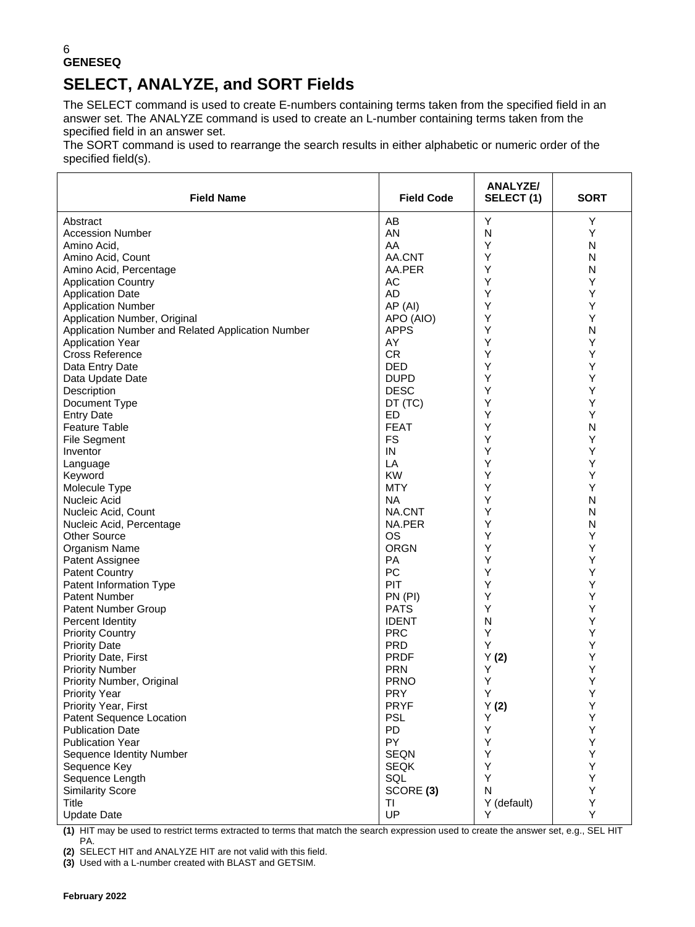# **SELECT, ANALYZE, and SORT Fields**

The SELECT command is used to create E-numbers containing terms taken from the specified field in an answer set. The ANALYZE command is used to create an L-number containing terms taken from the specified field in an answer set.

The SORT command is used to rearrange the search results in either alphabetic or numeric order of the specified field(s).

| <b>Field Name</b>                                 | <b>Field Code</b> | <b>ANALYZE/</b><br>SELECT(1) | <b>SORT</b> |
|---------------------------------------------------|-------------------|------------------------------|-------------|
| Abstract                                          | AB                | Y                            | Υ           |
| <b>Accession Number</b>                           | AN                | N                            | Υ           |
| Amino Acid,                                       | AA                | Υ                            | N           |
| Amino Acid, Count                                 | AA.CNT            | Y                            | N           |
| Amino Acid, Percentage                            | AA.PER            | Υ                            | N           |
| <b>Application Country</b>                        | AC                | Y                            | Υ           |
| <b>Application Date</b>                           | AD                | Y                            | Y           |
| <b>Application Number</b>                         | AP (AI)           | Υ                            | Υ           |
| Application Number, Original                      | APO (AIO)         | Υ                            | Υ           |
| Application Number and Related Application Number | <b>APPS</b>       | Y                            | N           |
| <b>Application Year</b>                           | AY                | Υ                            | Υ           |
| <b>Cross Reference</b>                            | <b>CR</b>         | Y                            | Υ           |
| Data Entry Date                                   | <b>DED</b>        | Y                            | Υ           |
| Data Update Date                                  | <b>DUPD</b>       | Υ                            | Υ           |
| Description                                       | <b>DESC</b>       | Υ                            | Υ           |
| Document Type                                     | DT (TC)           | Υ                            | Υ           |
| <b>Entry Date</b>                                 | ED                | Y                            | Y           |
| <b>Feature Table</b>                              | <b>FEAT</b>       | Y                            | N           |
| <b>File Segment</b>                               | <b>FS</b>         | Y                            | Y           |
| Inventor                                          | IN                | Υ                            | Υ           |
| Language                                          | LA                | Y                            | Y           |
| Keyword                                           | <b>KW</b>         | Y                            | Υ           |
| Molecule Type                                     | <b>MTY</b>        | Y                            | Υ           |
| Nucleic Acid                                      | <b>NA</b>         | Y                            | N           |
| Nucleic Acid, Count                               | NA.CNT            | Υ                            | N           |
| Nucleic Acid, Percentage                          | NA.PER            | Υ                            | N           |
| <b>Other Source</b>                               | <b>OS</b>         | Υ                            | Y           |
| Organism Name                                     | <b>ORGN</b>       | Y                            | Υ           |
| Patent Assignee                                   | <b>PA</b>         | Υ                            | Y           |
| <b>Patent Country</b>                             | PC                | Y                            | Υ           |
| Patent Information Type                           | PIT               | Υ                            | Υ           |
| <b>Patent Number</b>                              | PN (PI)           | Υ                            | Υ           |
| Patent Number Group                               | <b>PATS</b>       | Υ                            | Υ           |
| Percent Identity                                  | <b>IDENT</b>      | N                            | Υ           |
| <b>Priority Country</b>                           | <b>PRC</b>        | Υ                            | Υ           |
| <b>Priority Date</b>                              | <b>PRD</b>        | Υ                            | Υ           |
| Priority Date, First                              | <b>PRDF</b>       | Y(2)                         | Υ           |
| <b>Priority Number</b>                            | <b>PRN</b>        | Υ                            | Υ           |
| Priority Number, Original                         | <b>PRNO</b>       | Υ                            | Υ           |
| Priority Year                                     | <b>PRY</b>        | Υ                            | Y           |
| Priority Year, First                              | <b>PRYF</b>       | Y(2)                         | Υ           |
| Patent Sequence Location                          | <b>PSL</b>        | Υ                            | Υ           |
| <b>Publication Date</b>                           | <b>PD</b>         | Υ                            | Υ           |
| <b>Publication Year</b>                           | PY                | Y                            | Υ           |
| Sequence Identity Number                          | <b>SEQN</b>       | Υ                            | Υ           |
| Sequence Key                                      | <b>SEQK</b>       | Υ                            | Υ           |
| Sequence Length                                   | SQL               | Y                            | Υ           |
| <b>Similarity Score</b>                           | SCORE (3)         | N                            | Υ           |
| <b>Title</b>                                      | ΤI                | Y (default)                  | Υ           |
| <b>Update Date</b>                                | UP                | Y                            | Y           |

**(1)** HIT may be used to restrict terms extracted to terms that match the search expression used to create the answer set, e.g., SEL HIT PA.

**(2)** SELECT HIT and ANALYZE HIT are not valid with this field.

**(3)** Used with a L-number created with BLAST and GETSIM.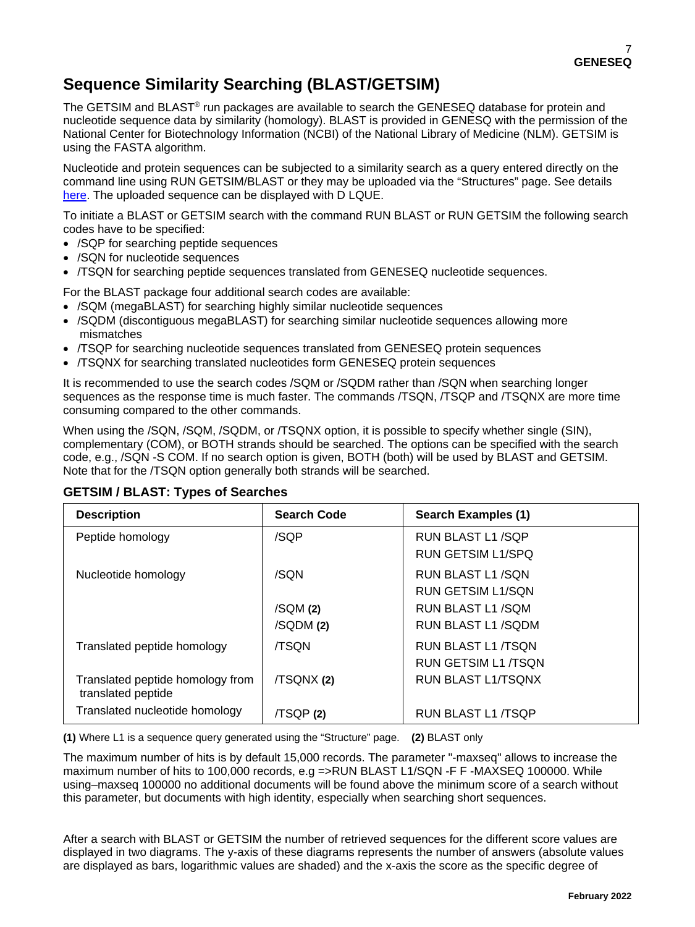# **Sequence Similarity Searching (BLAST/GETSIM)**

The GETSIM and BLAST<sup>®</sup> run packages are available to search the GENESEQ database for protein and nucleotide sequence data by similarity (homology). BLAST is provided in GENESQ with the permission of the National Center for Biotechnology Information (NCBI) of the National Library of Medicine (NLM). GETSIM is using the FASTA algorithm.

Nucleotide and protein sequences can be subjected to a similarity search as a query entered directly on the command line using RUN GETSIM/BLAST or they may be uploaded via the "Structures" page. See details [here.](https://www.stn.org/help/stnext/#t=Building_the_Query%2FUsing_Biosequences%2FUsing_Biosequences_for_Queries.htm) The uploaded sequence can be displayed with D LQUE.

To initiate a BLAST or GETSIM search with the command RUN BLAST or RUN GETSIM the following search codes have to be specified:

- /SQP for searching peptide sequences
- /SQN for nucleotide sequences
- /TSQN for searching peptide sequences translated from GENESEQ nucleotide sequences.

For the BLAST package four additional search codes are available:

- /SQM (megaBLAST) for searching highly similar nucleotide sequences
- /SQDM (discontiguous megaBLAST) for searching similar nucleotide sequences allowing more mismatches
- /TSQP for searching nucleotide sequences translated from GENESEQ protein sequences
- /TSQNX for searching translated nucleotides form GENESEQ protein sequences

It is recommended to use the search codes /SQM or /SQDM rather than /SQN when searching longer sequences as the response time is much faster. The commands /TSQN, /TSQP and /TSQNX are more time consuming compared to the other commands.

When using the /SQN, /SQM, /SQDM, or /TSQNX option, it is possible to specify whether single (SIN), complementary (COM), or BOTH strands should be searched. The options can be specified with the search code, e.g., /SQN -S COM. If no search option is given, BOTH (both) will be used by BLAST and GETSIM. Note that for the /TSQN option generally both strands will be searched.

| <b>Description</b>                                     | <b>Search Code</b> | Search Examples (1)      |
|--------------------------------------------------------|--------------------|--------------------------|
| Peptide homology                                       | /SQP               | RUN BLAST L1/SQP         |
|                                                        |                    | RUN GETSIM L1/SPQ        |
| Nucleotide homology                                    | /SQN               | RUN BLAST L1/SQN         |
|                                                        |                    | <b>RUN GETSIM L1/SON</b> |
|                                                        | /SQM(2)            | RUN BLAST L1/SQM         |
|                                                        | /SQDM(2)           | RUN BLAST L1/SQDM        |
| Translated peptide homology                            | <b>/TSON</b>       | RUN BLAST L1/TSON        |
|                                                        |                    | RUN GETSIM L1 /TSON      |
| Translated peptide homology from<br>translated peptide | /TSQNX (2)         | RUN BLAST L1/TSONX       |
| Translated nucleotide homology                         | /TSQP(2)           | RUN BLAST L1 /TSQP       |

### **GETSIM / BLAST: Types of Searches**

**(1)** Where L1 is a sequence query generated using the "Structure" page. **(2)** BLAST only

The maximum number of hits is by default 15,000 records. The parameter "-maxseq" allows to increase the maximum number of hits to 100,000 records, e.g =>RUN BLAST L1/SQN -F F -MAXSEQ 100000. While using–maxseq 100000 no additional documents will be found above the minimum score of a search without this parameter, but documents with high identity, especially when searching short sequences.

After a search with BLAST or GETSIM the number of retrieved sequences for the different score values are displayed in two diagrams. The y-axis of these diagrams represents the number of answers (absolute values are displayed as bars, logarithmic values are shaded) and the x-axis the score as the specific degree of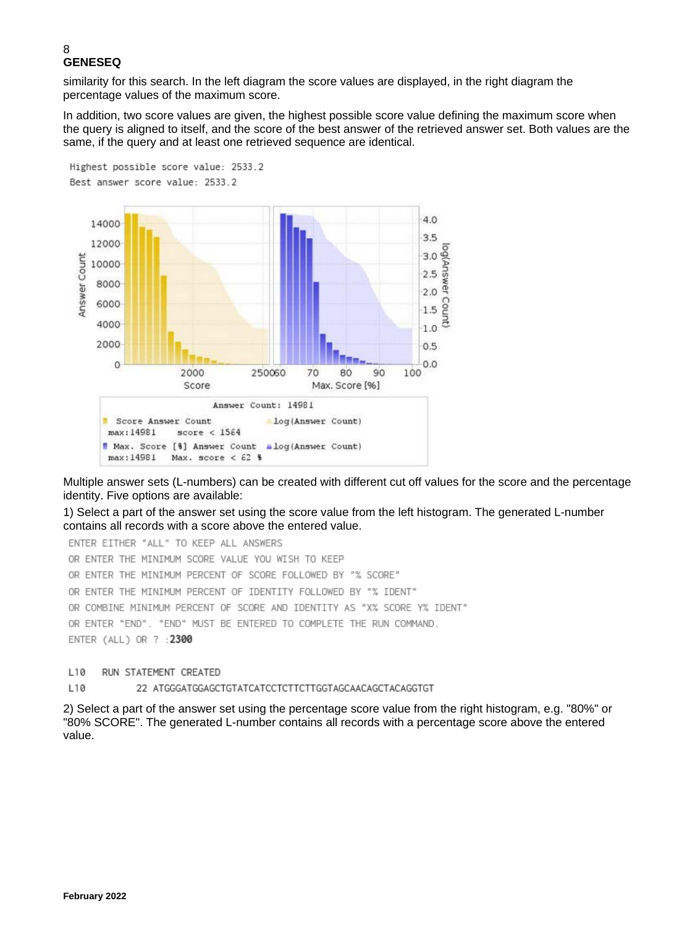similarity for this search. In the left diagram the score values are displayed, in the right diagram the percentage values of the maximum score.

In addition, two score values are given, the highest possible score value defining the maximum score when the query is aligned to itself, and the score of the best answer of the retrieved answer set. Both values are the same, if the query and at least one retrieved sequence are identical.



Multiple answer sets (L-numbers) can be created with different cut off values for the score and the percentage identity. Five options are available:

1) Select a part of the answer set using the score value from the left histogram. The generated L-number contains all records with a score above the entered value.

ENTER EITHER "ALL" TO KEEP ALL ANSWERS OR ENTER THE MINIMUM SCORE VALUE YOU WISH TO KEEP OR ENTER THE MINIMUM PERCENT OF SCORE FOLLOWED BY "% SCORE" OR ENTER THE MINIMUM PERCENT OF IDENTITY FOLLOWED BY "% IDENT" OR COMBINE MINIMUM PERCENT OF SCORE AND IDENTITY AS "X% SCORE Y% IDENT" OR ENTER "END". "END" MUST BE ENTERED TO COMPLETE THE RUN COMMAND. ENTER (ALL) OR ? : 2300

#### L10 RUN STATEMENT CREATED

#### L10 22 ATGGGATGGAGCTGTATCATCCTCTTCTTGGTAGCAACAGCTACAGGTGT

2) Select a part of the answer set using the percentage score value from the right histogram, e.g. "80%" or "80% SCORE". The generated L-number contains all records with a percentage score above the entered value.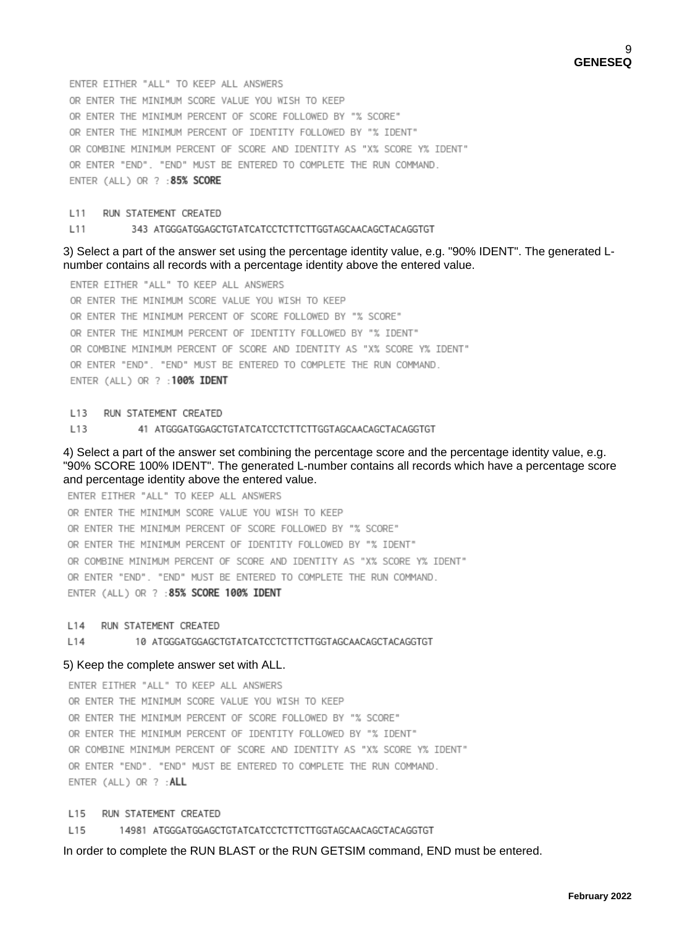ENTER EITHER "ALL" TO KEEP ALL ANSWERS OR ENTER THE MINIMUM SCORE VALUE YOU WISH TO KEEP OR ENTER THE MINIMUM PERCENT OF SCORE FOLLOWED BY "% SCORE" OR ENTER THE MINIMUM PERCENT OF IDENTITY FOLLOWED BY "% IDENT" OR COMBINE MINIMUM PERCENT OF SCORE AND IDENTITY AS "X% SCORE Y% IDENT" OR ENTER "END". "END" MUST BE ENTERED TO COMPLETE THE RUN COMMAND. ENTER (ALL) OR ? : 85% SCORE

#### L11 RUN STATEMENT CREATED

#### L<sub>11</sub> 343 ATGGGATGGAGCTGTATCATCCTCTTCTTGGTAGCAACAGCTACAGGTGT

#### 3) Select a part of the answer set using the percentage identity value, e.g. "90% IDENT". The generated Lnumber contains all records with a percentage identity above the entered value.

ENTER EITHER "ALL" TO KEEP ALL ANSWERS OR ENTER THE MINIMUM SCORE VALUE YOU WISH TO KEEP OR ENTER THE MINIMUM PERCENT OF SCORE FOLLOWED BY "% SCORE" OR ENTER THE MINIMUM PERCENT OF IDENTITY FOLLOWED BY "% IDENT" OR COMBINE MINIMUM PERCENT OF SCORE AND IDENTITY AS "X% SCORE Y% IDENT" OR ENTER "END". "END" MUST BE ENTERED TO COMPLETE THE RUN COMMAND. ENTER (ALL) OR ? : 100% IDENT

L13 RUN STATEMENT CREATED

L13 41 ATGGGATGGAGCTGTATCATCCTCTTCTTGGTAGCAACAGCTACAGGTGT

4) Select a part of the answer set combining the percentage score and the percentage identity value, e.g. "90% SCORE 100% IDENT". The generated L-number contains all records which have a percentage score and percentage identity above the entered value.

ENTER EITHER "ALL" TO KEEP ALL ANSWERS OR ENTER THE MINIMUM SCORE VALUE YOU WISH TO KEEP OR ENTER THE MINIMUM PERCENT OF SCORE FOLLOWED BY "% SCORE" OR ENTER THE MINIMUM PERCENT OF IDENTITY FOLLOWED BY "% IDENT" OR COMBINE MINIMUM PERCENT OF SCORE AND IDENTITY AS "X% SCORE Y% IDENT" OR ENTER "END". "END" MUST BE ENTERED TO COMPLETE THE RUN COMMAND. ENTER (ALL) OR ? : 85% SCORE 100% IDENT

L14 RUN STATEMENT CREATED

L14 10 ATGGGATGGAGCTGTATCATCCTCTTCTTGGTAGCAACAGCTACAGGTGT

#### 5) Keep the complete answer set with ALL.

ENTER EITHER "ALL" TO KEEP ALL ANSWERS OR ENTER THE MINIMUM SCORE VALUE YOU WISH TO KEEP OR ENTER THE MINIMUM PERCENT OF SCORE FOLLOWED BY "% SCORE" OR ENTER THE MINIMUM PERCENT OF IDENTITY FOLLOWED BY "% IDENT" OR COMBINE MINIMUM PERCENT OF SCORE AND IDENTITY AS "X% SCORE Y% IDENT" OR ENTER "END". "END" MUST BE ENTERED TO COMPLETE THE RUN COMMAND. ENTER (ALL) OR ? : ALL

L<sub>15</sub> RUN STATEMENT CREATED

L<sub>15</sub> 14981 ATGGGATGGAGCTGTATCATCCTCTTCTTGGTAGCAACAGCTACAGGTGT

In order to complete the RUN BLAST or the RUN GETSIM command, END must be entered.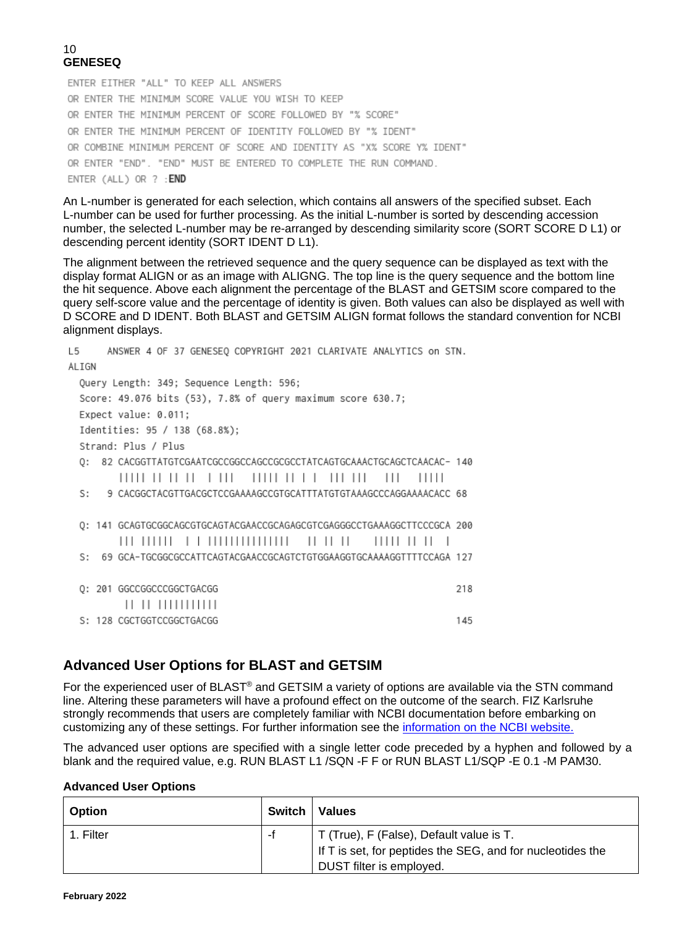ENTER EITHER "ALL" TO KEEP ALL ANSWERS OR ENTER THE MINIMUM SCORE VALUE YOU WISH TO KEEP OR ENTER THE MINIMUM PERCENT OF SCORE FOLLOWED BY "% SCORE" OR ENTER THE MINIMUM PERCENT OF IDENTITY FOLLOWED BY "% IDENT" OR COMBINE MINIMUM PERCENT OF SCORE AND IDENTITY AS "X% SCORE Y% IDENT" OR ENTER "END". "END" MUST BE ENTERED TO COMPLETE THE RUN COMMAND. ENTER (ALL) OR ? : END

An L-number is generated for each selection, which contains all answers of the specified subset. Each L-number can be used for further processing. As the initial L-number is sorted by descending accession number, the selected L-number may be re-arranged by descending similarity score (SORT SCORE D L1) or descending percent identity (SORT IDENT D L1).

The alignment between the retrieved sequence and the query sequence can be displayed as text with the display format ALIGN or as an image with ALIGNG. The top line is the query sequence and the bottom line the hit sequence. Above each alignment the percentage of the BLAST and GETSIM score compared to the query self-score value and the percentage of identity is given. Both values can also be displayed as well with D SCORE and D IDENT. Both BLAST and GETSIM ALIGN format follows the standard convention for NCBI alignment displays.

| ANSWER 4 OF 37 GENESEO COPYRIGHT 2021 CLARIVATE ANALYTICS on STN.<br>L5   |     |
|---------------------------------------------------------------------------|-----|
| ALIGN                                                                     |     |
| Query Length: 349; Sequence Length: 596;                                  |     |
| Score: 49.076 bits (53), 7.8% of query maximum score 630.7;               |     |
| Expect value: 0.011;                                                      |     |
| Identities: 95 / 138 (68.8%);                                             |     |
| Strand: Plus / Plus                                                       |     |
| 82 CACGGTTATGTCGAATCGCCGGCCAGCCGCCCTATCAGTGCAAACTGCAGCTCAACAC- 140<br>0:  |     |
| $\Box$<br>,,,,,,,,,,,,,,,,,<br>$\perp$<br>11111<br>11111 11 11<br>$\Box$  |     |
| 9 CACGGCTACGTTGACGCTCCGAAAAGCCGTGCATTTATGTGTAAAGCCCAGGAAAACACC 68<br>St.  |     |
|                                                                           |     |
| Q: 141 GCAGTGCGGCAGCGTGCAGTACGAACCGCAGAGCGTCGAGGGCCTGAAAGGCTTCCCGCA 200   |     |
| <br>$\Box$<br>11111111<br>$\Box$                                          |     |
| 69 GCA-TGCGGCGCCATTCAGTACGAACCGCAGTCTGTGGAAGGTGCAAAAGGTTTTCCAGA 127<br>S: |     |
|                                                                           |     |
| 0: 201 GGCCGGCCCGGCTGACGG                                                 | 218 |
| ,, ,, ,,,,,,,,,,,                                                         |     |
| S: 128 CGCTGGTCCGGCTGACGG                                                 | 145 |

## **Advanced User Options for BLAST and GETSIM**

For the experienced user of BLAST® and GETSIM a variety of options are available via the STN command line. Altering these parameters will have a profound effect on the outcome of the search. FIZ Karlsruhe strongly recommends that users are completely familiar with NCBI documentation before embarking on customizing any of these settings. For further information see the [information on the NCBI website.](http://blast.ncbi.nlm.nih.gov/Blast.cgi?CMD=Web&PAGE_TYPE=BlastDocs)

The advanced user options are specified with a single letter code preceded by a hyphen and followed by a blank and the required value, e.g. RUN BLAST L1 /SQN -F F or RUN BLAST L1/SQP -E 0.1 -M PAM30.

### **Advanced User Options**

| <b>Option</b> | Switch   Values                                                                                        |
|---------------|--------------------------------------------------------------------------------------------------------|
| 1. Filter     | T (True), F (False), Default value is T.<br>If T is set, for peptides the SEG, and for nucleotides the |
|               | DUST filter is employed.                                                                               |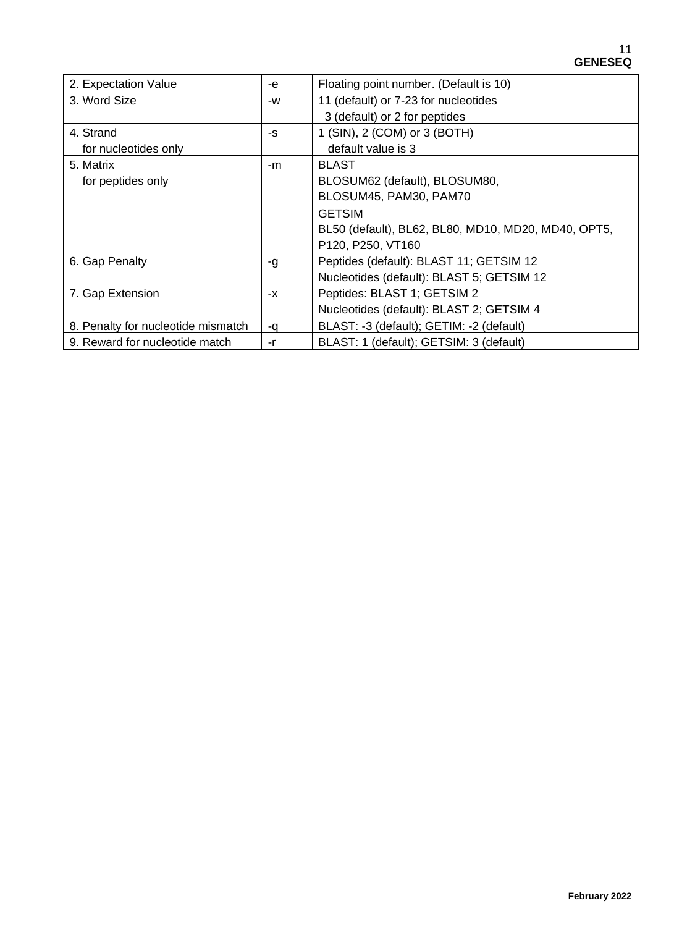| 2. Expectation Value               | -e | Floating point number. (Default is 10)              |
|------------------------------------|----|-----------------------------------------------------|
| 3. Word Size                       | -W | 11 (default) or 7-23 for nucleotides                |
|                                    |    | 3 (default) or 2 for peptides                       |
| 4. Strand                          | -S | 1 (SIN), 2 (COM) or 3 (BOTH)                        |
| for nucleotides only               |    | default value is 3                                  |
| 5. Matrix                          | -m | <b>BLAST</b>                                        |
| for peptides only                  |    | BLOSUM62 (default), BLOSUM80,                       |
|                                    |    | BLOSUM45, PAM30, PAM70                              |
|                                    |    | <b>GETSIM</b>                                       |
|                                    |    | BL50 (default), BL62, BL80, MD10, MD20, MD40, OPT5, |
|                                    |    | P120, P250, VT160                                   |
| 6. Gap Penalty                     | -g | Peptides (default): BLAST 11; GETSIM 12             |
|                                    |    | Nucleotides (default): BLAST 5; GETSIM 12           |
| 7. Gap Extension                   | -х | Peptides: BLAST 1; GETSIM 2                         |
|                                    |    | Nucleotides (default): BLAST 2; GETSIM 4            |
| 8. Penalty for nucleotide mismatch | -a | BLAST: -3 (default); GETIM: -2 (default)            |
| 9. Reward for nucleotide match     | -r | BLAST: 1 (default); GETSIM: 3 (default)             |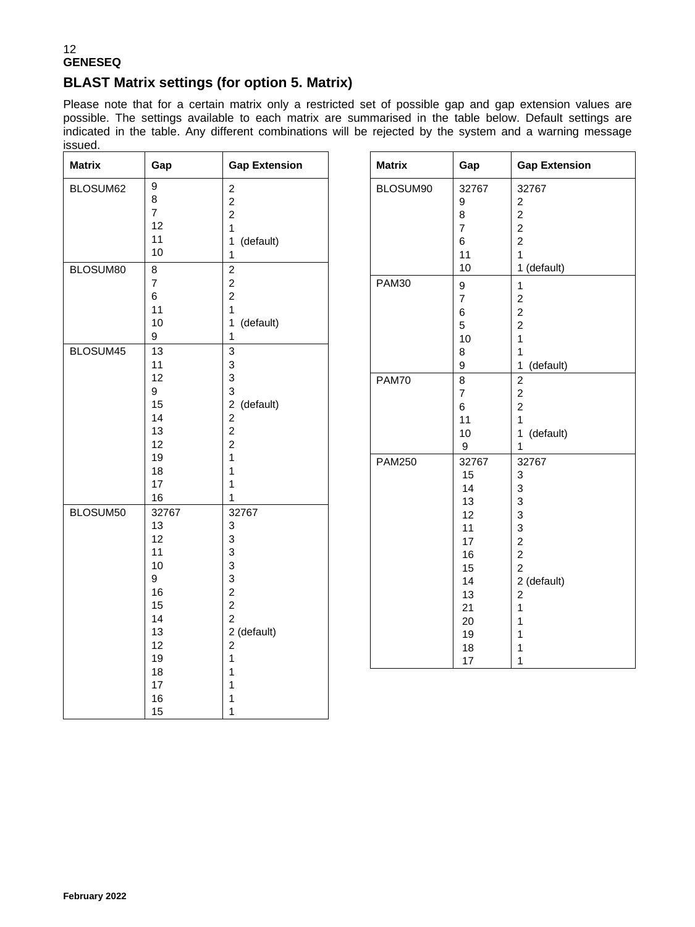## **BLAST Matrix settings (for option 5. Matrix)**

Please note that for a certain matrix only a restricted set of possible gap and gap extension values are possible. The settings available to each matrix are summarised in the table below. Default settings are indicated in the table. Any different combinations will be rejected by the system and a warning message issued.

**Gap Extension** 

1 (default)

1 (default)

1 (default)

2 (default)

| <b>Matrix</b> | Gap                     | <b>Gap Extension</b>             | <b>Matrix</b> | Gap                     |
|---------------|-------------------------|----------------------------------|---------------|-------------------------|
| BLOSUM62      | 9                       | $\overline{c}$                   | BLOSUM90      | 32767                   |
|               | 8                       | $\overline{2}$                   |               | 9                       |
|               | $\overline{7}$          | $\overline{2}$                   |               | 8                       |
|               | 12                      | 1                                |               | $\overline{7}$          |
|               | 11                      | (default)<br>$\mathbf 1$         |               | 6                       |
|               | $10$                    | 1                                |               | 11                      |
| BLOSUM80      | $\bf8$                  | $\overline{c}$                   |               | 10                      |
|               | $\overline{\mathbf{7}}$ | $\overline{2}$                   | PAM30         | 9                       |
|               | 6                       | $\overline{2}$                   |               | $\overline{7}$          |
|               | 11                      | 1                                |               | 6                       |
|               | 10                      | (default)<br>1                   |               | 5                       |
|               | 9                       | $\mathbf{1}$                     |               | 10                      |
| BLOSUM45      | 13                      | 3                                |               | 8                       |
|               | 11                      | $\mathsf 3$                      |               | 9                       |
|               | 12                      | 3                                | <b>PAM70</b>  | 8                       |
|               | 9                       | 3                                |               | $\overline{\mathbf{7}}$ |
|               | 15                      | $\overline{2}$<br>(default)      |               | 6                       |
|               | 14                      | $\overline{2}$                   |               | 11                      |
|               | 13                      | $\overline{2}$                   |               | 10                      |
|               | 12                      | $\overline{c}$                   |               | 9                       |
|               | 19                      | $\mathbf{1}$                     | <b>PAM250</b> | 32767                   |
|               | 18                      | $\mathbf{1}$                     |               | 15                      |
|               | 17                      | 1                                |               | 14                      |
|               | 16                      | 1                                |               | 13                      |
| BLOSUM50      | 32767                   | 32767                            |               | 12                      |
|               | 13                      | 3                                |               | 11                      |
|               | 12                      | 3                                |               | 17                      |
|               | 11                      | 3                                |               | 16                      |
|               | 10                      | 3                                |               | 15                      |
|               | 9                       | $\mathsf 3$                      |               | 14                      |
|               | 16                      | $\sqrt{2}$                       |               | 13                      |
|               | 15<br>14                | $\overline{a}$<br>$\overline{2}$ |               | 21                      |
|               |                         |                                  |               | 20                      |
|               | 13<br>12                | 2 (default)<br>$\overline{2}$    |               | 19                      |
|               | 19                      | $\mathbf{1}$                     |               | 18                      |
|               | 18                      | 1                                |               | 17                      |
|               | 17                      | 1                                |               |                         |
|               | 16                      | 1                                |               |                         |
|               | 15                      | 1                                |               |                         |
|               |                         |                                  |               |                         |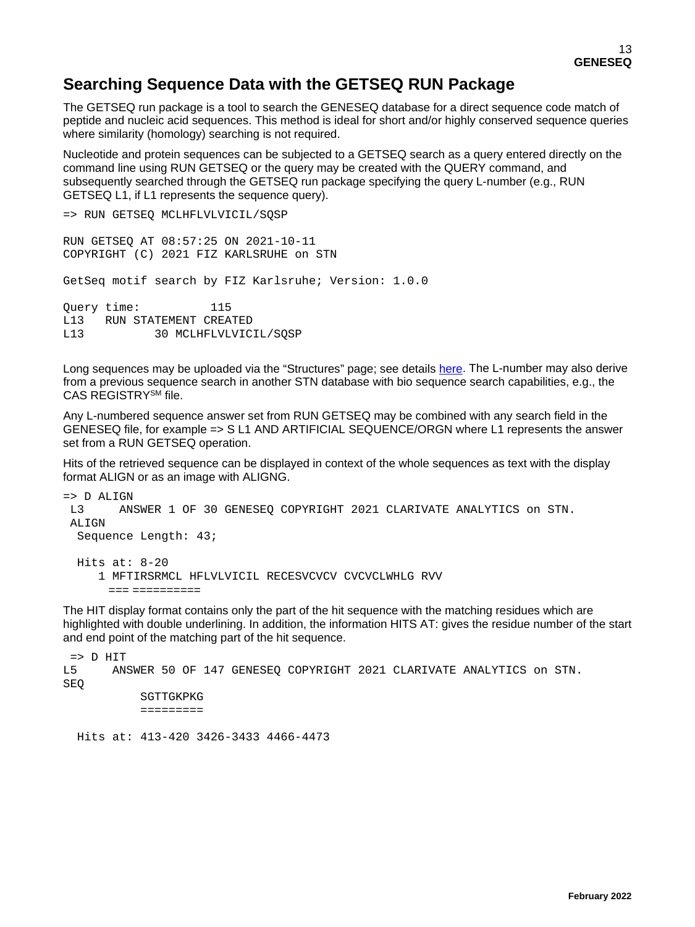# **Searching Sequence Data with the GETSEQ RUN Package**

The GETSEQ run package is a tool to search the GENESEQ database for a direct sequence code match of peptide and nucleic acid sequences. This method is ideal for short and/or highly conserved sequence queries where similarity (homology) searching is not required.

Nucleotide and protein sequences can be subjected to a GETSEQ search as a query entered directly on the command line using RUN GETSEQ or the query may be created with the QUERY command, and subsequently searched through the GETSEQ run package specifying the query L-number (e.g., RUN GETSEQ L1, if L1 represents the sequence query).

```
=> RUN GETSEQ MCLHFLVLVICIL/SQSP
RUN GETSEQ AT 08:57:25 ON 2021-10-11
COPYRIGHT (C) 2021 FIZ KARLSRUHE on STN
GetSeq motif search by FIZ Karlsruhe; Version: 1.0.0
Query time: 115<br>L13 RUN STATEMENT CREA
L13 RUN STATEMENT CREATED<br>L13 30 MCLHFLVLVIC
              30 MCLHFLVLVICIL/SOSP
```
Long sequences may be uploaded via the "Structures" page; see details [here.](https://www.stn.org/help/stnext/#t=Building_the_Query%2FUsing_Biosequences%2FUsing_Biosequences_for_Queries.htm) The L-number may also derive from a previous sequence search in another STN database with bio sequence search capabilities, e.g., the CAS REGISTRYSM file.

Any L-numbered sequence answer set from RUN GETSEQ may be combined with any search field in the GENESEQ file, for example => S L1 AND ARTIFICIAL SEQUENCE/ORGN where L1 represents the answer set from a RUN GETSEQ operation.

Hits of the retrieved sequence can be displayed in context of the whole sequences as text with the display format ALIGN or as an image with ALIGNG.

```
= > D ALIGN<br>I_13 AN
        ANSWER 1 OF 30 GENESEQ COPYRIGHT 2021 CLARIVATE ANALYTICS on STN.
ALLTGN
  Sequence Length: 43;
  Hits at: 8-20
      1 MFTIRSRMCL HFLVLVICIL RECESVCVCV CVCVCLWHLG RVV
        === ==========
```
The HIT display format contains only the part of the hit sequence with the matching residues which are highlighted with double underlining. In addition, the information HITS AT: gives the residue number of the start and end point of the matching part of the hit sequence.

```
= D HIT<br>L5 AN
       L5 ANSWER 50 OF 147 GENESEQ COPYRIGHT 2021 CLARIVATE ANALYTICS on STN. 
SEQ 
             SGTTGKPKG 
             ========= 
   Hits at: 413-420 3426-3433 4466-4473
```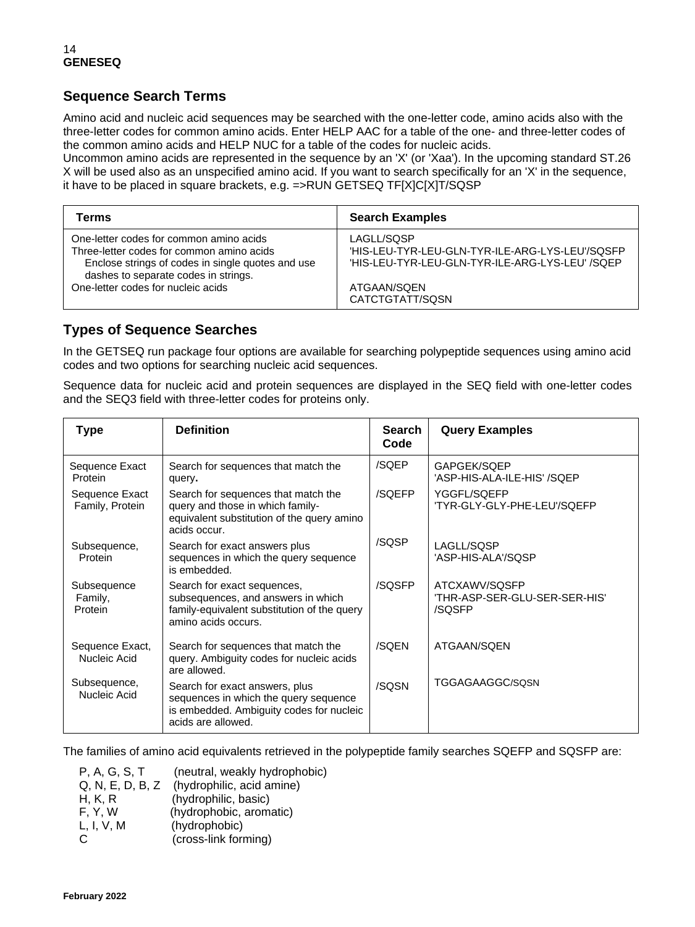## **Sequence Search Terms**

Amino acid and nucleic acid sequences may be searched with the one-letter code, amino acids also with the three-letter codes for common amino acids. Enter HELP AAC for a table of the one- and three-letter codes of the common amino acids and HELP NUC for a table of the codes for nucleic acids.

Uncommon amino acids are represented in the sequence by an 'X' (or 'Xaa'). In the upcoming standard ST.26 X will be used also as an unspecified amino acid. If you want to search specifically for an 'X' in the sequence, it have to be placed in square brackets, e.g. =>RUN GETSEQ TF[X]C[X]T/SQSP

| Terms                                             | <b>Search Examples</b>                          |
|---------------------------------------------------|-------------------------------------------------|
| One-letter codes for common amino acids           | LAGLL/SQSP                                      |
| Three-letter codes for common amino acids         | 'HIS-LEU-TYR-LEU-GLN-TYR-ILE-ARG-LYS-LEU'/SQSFP |
| Enclose strings of codes in single quotes and use | 'HIS-LEU-TYR-LEU-GLN-TYR-ILE-ARG-LYS-LEU' /SQEP |
| dashes to separate codes in strings.              | ATGAAN/SQEN                                     |
| One-letter codes for nucleic acids                | CATCTGTATT/SQSN                                 |

### **Types of Sequence Searches**

In the GETSEQ run package four options are available for searching polypeptide sequences using amino acid codes and two options for searching nucleic acid sequences.

Sequence data for nucleic acid and protein sequences are displayed in the SEQ field with one-letter codes and the SEQ3 field with three-letter codes for proteins only.

| <b>Type</b>                       | <b>Definition</b>                                                                                                                         | <b>Search</b><br>Code | <b>Query Examples</b>                                    |
|-----------------------------------|-------------------------------------------------------------------------------------------------------------------------------------------|-----------------------|----------------------------------------------------------|
| Sequence Exact<br>Protein         | Search for sequences that match the<br>query.                                                                                             | /SQEP                 | GAPGEK/SQEP<br>'ASP-HIS-ALA-ILE-HIS' /SQEP               |
| Sequence Exact<br>Family, Protein | Search for sequences that match the<br>query and those in which family-<br>equivalent substitution of the query amino<br>acids occur.     | /SQEFP                | YGGFL/SQEFP<br>'TYR-GLY-GLY-PHE-LEU'/SQEFP               |
| Subsequence,<br>Protein           | Search for exact answers plus<br>sequences in which the query sequence<br>is embedded.                                                    | /SQSP                 | LAGLL/SQSP<br>'ASP-HIS-ALA'/SQSP                         |
| Subsequence<br>Family,<br>Protein | Search for exact sequences,<br>subsequences, and answers in which<br>family-equivalent substitution of the query<br>amino acids occurs.   | /SQSFP                | ATCXAWV/SQSFP<br>'THR-ASP-SER-GLU-SER-SER-HIS'<br>/SQSFP |
| Sequence Exact,<br>Nucleic Acid   | Search for sequences that match the<br>query. Ambiguity codes for nucleic acids<br>are allowed.                                           | /SQEN                 | ATGAAN/SQEN                                              |
| Subsequence,<br>Nucleic Acid      | Search for exact answers, plus<br>sequences in which the query sequence<br>is embedded. Ambiguity codes for nucleic<br>acids are allowed. | /SQSN                 | TGGAGAAGGC/SQSN                                          |

The families of amino acid equivalents retrieved in the polypeptide family searches SQEFP and SQSFP are:

| P, A, G, S, T    | (neutral, weakly hydrophobic) |
|------------------|-------------------------------|
| Q, N, E, D, B, Z | (hydrophilic, acid amine)     |
| H, K, R          | (hydrophilic, basic)          |
| F, Y, W          | (hydrophobic, aromatic)       |
| L, I, V, M       | (hydrophobic)                 |
| C.               | (cross-link forming)          |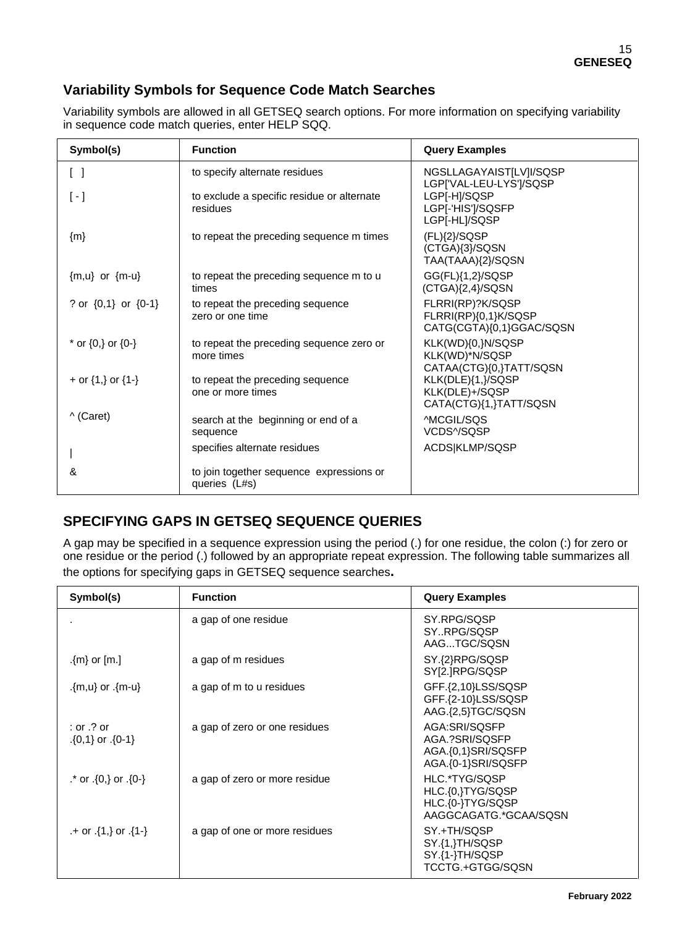## **Variability Symbols for Sequence Code Match Searches**

Variability symbols are allowed in all GETSEQ search options. For more information on specifying variability in sequence code match queries, enter HELP SQQ.

| Symbol(s)                       | <b>Function</b>                                           | <b>Query Examples</b>                                                |
|---------------------------------|-----------------------------------------------------------|----------------------------------------------------------------------|
| $\begin{bmatrix} \end{bmatrix}$ | to specify alternate residues                             | NGSLLAGAYAIST[LV]I/SQSP<br>LGPI'VAL-LEU-LYS']/SQSP                   |
| $\lbrack - \rbrack$             | to exclude a specific residue or alternate<br>residues    | LGP[-H]/SQSP<br>LGP[-'HIS']/SQSFP<br>LGP[-HL]/SQSP                   |
| $\{m\}$                         | to repeat the preceding sequence m times                  | $(FL)$ {2}/SQSP<br>(CTGA){3}/SQSN<br>TAA(TAAA){2}/SQSN               |
| ${m,u}$ or ${m-u}$              | to repeat the preceding sequence m to u<br>times          | GG(FL){1,2}/SQSP<br>$(CTGA){2,4}/SQSN$                               |
| ? or $\{0,1\}$ or $\{0-1\}$     | to repeat the preceding sequence<br>zero or one time      | FLRRI(RP)?K/SQSP<br>FLRRI(RP){0,1}K/SQSP<br>CATG(CGTA){0,1}GGAC/SQSN |
| * or $\{0,\}$ or $\{0-\}$       | to repeat the preceding sequence zero or<br>more times    | KLK(WD){0,}N/SQSP<br>KLK(WD)*N/SQSP<br>CATAA(CTG){0,}TATT/SQSN       |
| + or $\{1, \}$ or $\{1-\}$      | to repeat the preceding sequence<br>one or more times     | KLK(DLE){1,}/SQSP<br>KLK(DLE)+/SQSP<br>CATA(CTG){1,}TATT/SQSN        |
| ^ (Caret)                       | search at the beginning or end of a<br>sequence           | ^MCGIL/SQS<br>VCDS^/SQSP                                             |
|                                 | specifies alternate residues                              | ACDS KLMP/SQSP                                                       |
| &                               | to join together sequence expressions or<br>queries (L#s) |                                                                      |

## **SPECIFYING GAPS IN GETSEQ SEQUENCE QUERIES**

A gap may be specified in a sequence expression using the period (.) for one residue, the colon (:) for zero or one residue or the period (.) followed by an appropriate repeat expression. The following table summarizes all the options for specifying gaps in GETSEQ sequence searches**.**

| Symbol(s)                                 | <b>Function</b>               | <b>Query Examples</b>                                                          |
|-------------------------------------------|-------------------------------|--------------------------------------------------------------------------------|
|                                           | a gap of one residue          | SY.RPG/SQSP<br>SYRPG/SQSP<br>AAGTGC/SQSN                                       |
| .{m} or $[m.]$                            | a gap of m residues           | SY.{2}RPG/SQSP<br>SY[2.]RPG/SQSP                                               |
| {m-u} or .{m-u}}                          | a gap of m to u residues      | GFF.{2,10}LSS/SQSP<br>GFF.{2-10}LSS/SQSP<br>AAG.{2,5}TGC/SQSN                  |
| $:$ or $.$ ? or<br>$\{0,1\}$ or $\{0-1\}$ | a gap of zero or one residues | AGA:SRI/SOSFP<br>AGA.?SRI/SQSFP<br>AGA.{0,1}SRI/SQSFP<br>AGA.{0-1}SRI/SQSFP    |
| $\cdot$ or $\{0\}$ or $\{0\}$ .           | a gap of zero or more residue | HLC.*TYG/SQSP<br>HLC.{0,}TYG/SQSP<br>HLC.{0-}TYG/SQSP<br>AAGGCAGATG.*GCAA/SQSN |
| $+$ or $\{1, \}$ or $\{1 - \}$            | a gap of one or more residues | SY.+TH/SQSP<br>SY.{1,}TH/SQSP<br>SY.{1-}TH/SQSP<br>TCCTG.+GTGG/SQSN            |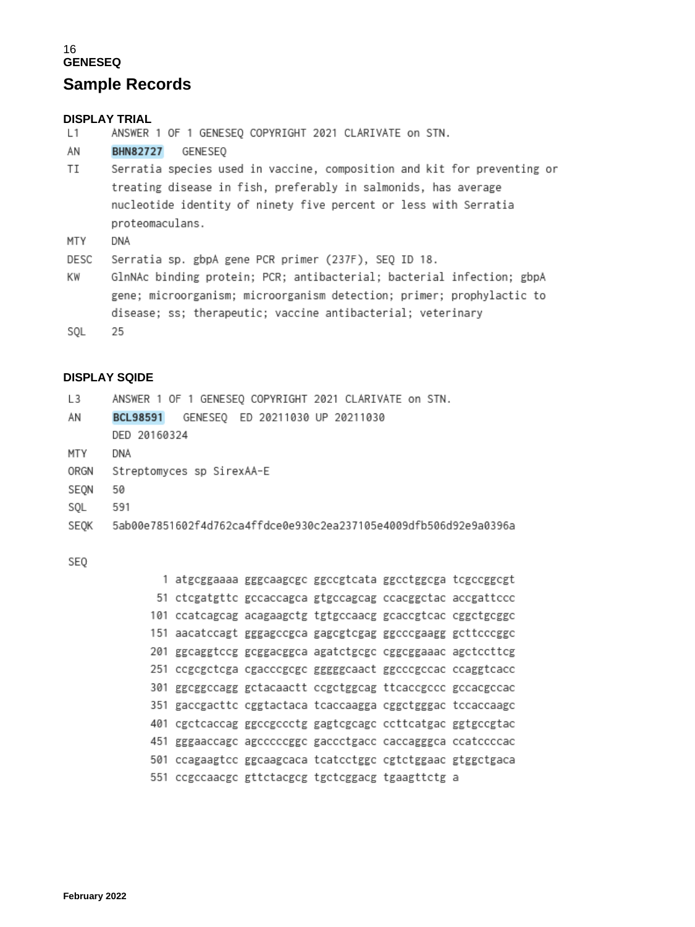## **Sample Records**

### **DISPLAY TRIAL**

 $L1$ ANSWER 1 OF 1 GENESEQ COPYRIGHT 2021 CLARIVATE on STN.

AN BHN82727 GENESEQ

- TI Serratia species used in vaccine, composition and kit for preventing or treating disease in fish, preferably in salmonids, has average nucleotide identity of ninety five percent or less with Serratia proteomaculans.
- MTY DNA

Serratia sp. gbpA gene PCR primer (237F), SEQ ID 18. DESC

- ΚW GlnNAc binding protein; PCR; antibacterial; bacterial infection; gbpA gene; microorganism; microorganism detection; primer; prophylactic to disease; ss; therapeutic; vaccine antibacterial; veterinary
- SQL 25

### **DISPLAY SQIDE**

| L <sub>3</sub> | ANSWER 1 OF 1 GENESEQ COPYRIGHT 2021 CLARIVATE on STN.           |
|----------------|------------------------------------------------------------------|
| ΑN             | GENESEQ ED 20211030 UP 20211030<br><b>BCL98591</b>               |
|                | DED 20160324                                                     |
| MTY            | DNA                                                              |
| ORGN           | Streptomyces sp SirexAA-E                                        |
| SEON           | 50                                                               |
| SQL            | 591                                                              |
| SEOK           | 5ab00e7851602f4d762ca4ffdce0e930c2ea237105e4009dfb506d92e9a0396a |
|                |                                                                  |

SE<sub>0</sub>

|     | 1 atgcggaaaa gggcaagcgc ggccgtcata ggcctggcga tcgccggcgt   |  |                                                        |  |
|-----|------------------------------------------------------------|--|--------------------------------------------------------|--|
|     | 51 ctcgatgttc gccaccagca gtgccagcag ccacggctac accgattccc  |  |                                                        |  |
|     | 101 ccatcagcag acagaagctg tgtgccaacg gcaccgtcac cggctgcggc |  |                                                        |  |
|     | 151 aacatccagt gggagccgca gagcgtcgag ggcccgaagg gcttcccggc |  |                                                        |  |
|     | 201 ggcaggtccg gcggacggca agatctgcgc cggcggaaac agctccttcg |  |                                                        |  |
| 251 |                                                            |  | ccgcgctcga cgacccgcgc gggggcaact ggcccgccac ccaggtcacc |  |
| 301 |                                                            |  |                                                        |  |
|     | 351 gaccgacttc cggtactaca tcaccaagga cggctgggac tccaccaagc |  |                                                        |  |
|     | 401 cgctcaccag ggccgccctg gagtcgcagc ccttcatgac ggtgccgtac |  |                                                        |  |
| 451 | gggaaccage agecceegge gaccetgace caccagggca ccatecceae     |  |                                                        |  |
| 501 |                                                            |  | ccagaagtcc ggcaagcaca tcatcctggc cgtctggaac gtggctgaca |  |
|     | 551 ccgccaacgc gttctacgcg tgctcggacg tgaagttctg a          |  |                                                        |  |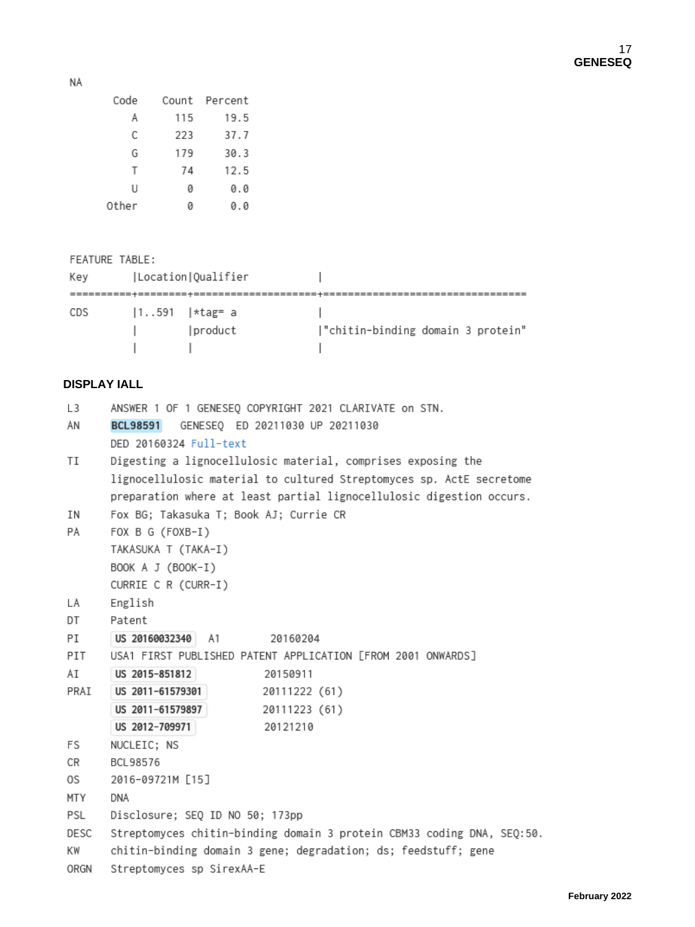NA

| Code  |     | Count Percent |
|-------|-----|---------------|
| Α     | 115 | 19.5          |
| C     | 223 | 37.7          |
| G     | 179 | 30.3          |
| Т     | 74  | 12.5          |
| U     | ø   | 0.0           |
| Other | и   | 0.0           |

FEATURE TABLE: Key | Location | Qualifier  $\begin{array}{c} \hline \end{array}$ |1..591 |\*tag= a |<br>| |product |"chitin-binding domain 3 protein" CDS  $\mathbf{L}$  $\mathbb{R}$  $\mathbb{R}$ 

### **DISPLAY IALL**

| L3   | ANSWER 1 OF 1 GENESEO COPYRIGHT 2021 CLARIVATE on STN.                 |  |  |  |  |
|------|------------------------------------------------------------------------|--|--|--|--|
| ΑN   | GENESEQ ED 20211030 UP 20211030<br><b>BCL98591</b>                     |  |  |  |  |
|      | DED 20160324 Full-text                                                 |  |  |  |  |
| ΤI   | Digesting a lignocellulosic material, comprises exposing the           |  |  |  |  |
|      | lignocellulosic material to cultured Streptomyces sp. ActE secretome   |  |  |  |  |
|      | preparation where at least partial lignocellulosic digestion occurs.   |  |  |  |  |
| ΙN   | Fox BG; Takasuka T; Book AJ; Currie CR                                 |  |  |  |  |
| PA   | FOX B G (FOXB-I)                                                       |  |  |  |  |
|      | TAKASUKA T (TAKA-I)                                                    |  |  |  |  |
|      | BOOK A J (BOOK-I)                                                      |  |  |  |  |
|      | CURRIE C R (CURR-I)                                                    |  |  |  |  |
| LΑ   | English                                                                |  |  |  |  |
| DT   | Patent                                                                 |  |  |  |  |
| РI   | US 20160032340<br>- A1<br>20160204                                     |  |  |  |  |
| PIT  | USA1 FIRST PUBLISHED PATENT APPLICATION [FROM 2001 ONWARDS]            |  |  |  |  |
| ΑI   | US 2015-851812<br>20150911                                             |  |  |  |  |
| PRAI | US 2011-61579301<br>20111222 (61)                                      |  |  |  |  |
|      | US 2011-61579897<br>20111223 (61)                                      |  |  |  |  |
|      | US 2012-709971<br>20121210                                             |  |  |  |  |
| FS   | NUCLEIC; NS                                                            |  |  |  |  |
| CR   | BCL98576                                                               |  |  |  |  |
| 0S.  | 2016-09721M [15]                                                       |  |  |  |  |
| MTY  | DNA                                                                    |  |  |  |  |
| PSL  | Disclosure; SEQ ID NO 50; 173pp                                        |  |  |  |  |
| DESC | Streptomyces chitin-binding domain 3 protein CBM33 coding DNA, SEQ:50. |  |  |  |  |
| ΚW   | chitin-binding domain 3 gene; degradation; ds; feedstuff; gene         |  |  |  |  |
| ORGN | Streptomyces sp SirexAA-E                                              |  |  |  |  |
|      |                                                                        |  |  |  |  |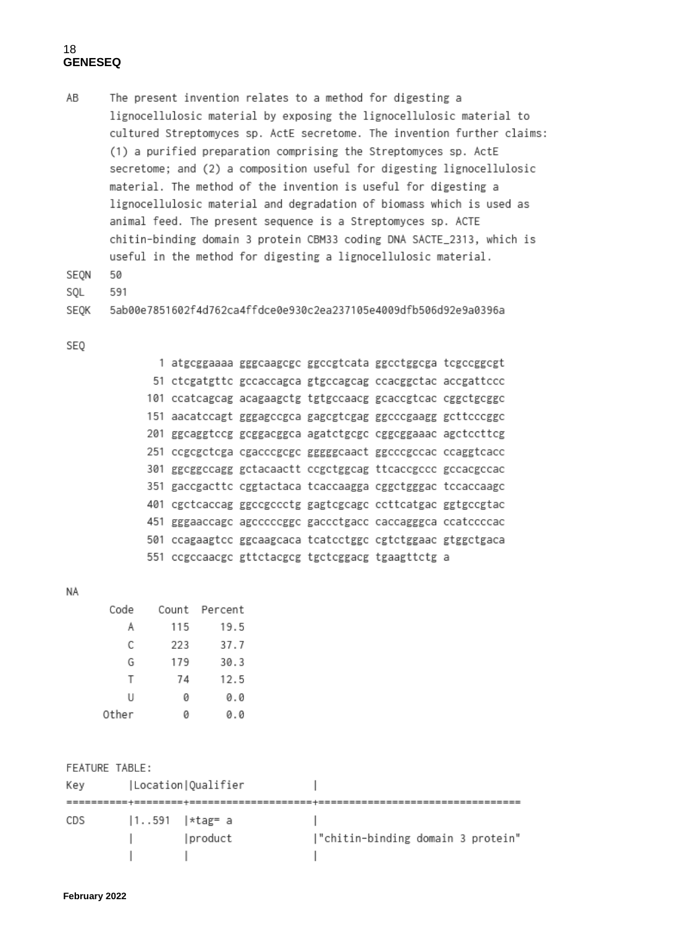AB The present invention relates to a method for digesting a lignocellulosic material by exposing the lignocellulosic material to cultured Streptomyces sp. ActE secretome. The invention further claims: (1) a purified preparation comprising the Streptomyces sp. ActE secretome; and (2) a composition useful for digesting lignocellulosic material. The method of the invention is useful for digesting a lignocellulosic material and degradation of biomass which is used as animal feed. The present sequence is a Streptomyces sp. ACTE chitin-binding domain 3 protein CBM33 coding DNA SACTE\_2313, which is useful in the method for digesting a lignocellulosic material.

50 SEON

SOL 591

```
5ab00e7851602f4d762ca4ffdce0e930c2ea237105e4009dfb506d92e9a0396a
SEQK
```
SEQ

|  | 1 atgcggaaaa gggcaagcgc ggccgtcata ggcctggcga tcgccggcgt   |  |  |
|--|------------------------------------------------------------|--|--|
|  | 51 ctcgatgttc gccaccagca gtgccagcag ccacggctac accgattccc  |  |  |
|  | 101 ccatcagcag acagaagctg tgtgccaacg gcaccgtcac cggctgcggc |  |  |
|  | 151 aacatccagt gggagccgca gagcgtcgag ggcccgaagg gcttcccggc |  |  |
|  | 201 ggcaggtccg gcggacggca agatctgcgc cggcggaaac agctccttcg |  |  |
|  | 251 ccgcgctcga cgacccgcgc gggggcaact ggcccgccac ccaggtcacc |  |  |
|  |                                                            |  |  |
|  | 351 gaccgacttc cggtactaca tcaccaagga cggctgggac tccaccaagc |  |  |
|  | 401 cgctcaccag ggccgccctg gagtcgcagc ccttcatgac ggtgccgtac |  |  |
|  | 451 gggaaccage ageeccegge gaecetgaee caecagggea ceatecceae |  |  |
|  | 501 ccagaagtee ggcaagcaca tcatectgge egtetggaac gtggetgaca |  |  |
|  | 551 ccgccaacgc gttctacgcg tgctcggacg tgaagttctg a          |  |  |
|  |                                                            |  |  |

NA

| Code  |     | Count Percent |
|-------|-----|---------------|
| Α     | 115 | 19.5          |
| С     | 223 | 37.7          |
| G     | 179 | 30.3          |
| т     | 74  | 12.5          |
| U     | 0   | 0.0           |
| Other | Ø   | 0.0           |

| FEATURE TABLE: |                    |                   |                                   |
|----------------|--------------------|-------------------|-----------------------------------|
| Key            | Location Qualifier |                   |                                   |
|                |                    |                   |                                   |
| CDS            |                    | $ 1591$   *tag= a |                                   |
|                | $\mathbf{r}$       | product           | "chitin-binding domain 3 protein" |
|                |                    |                   |                                   |